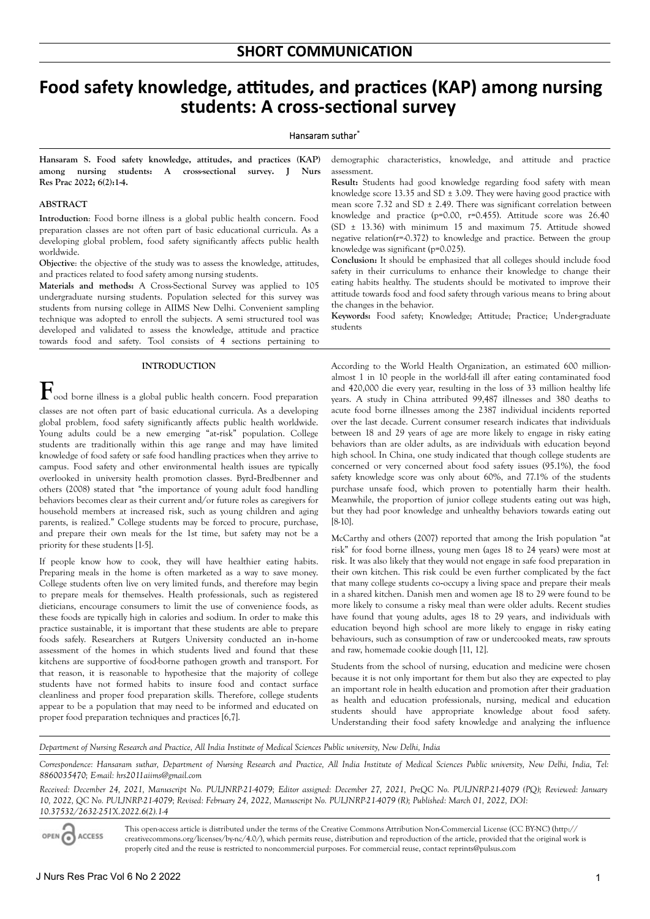# **Food safety knowledge, attitudes, and practices (KAP) among nursing students: A cross-sectional survey**

#### Hansaram suthar\*

**Hansaram S. Food safety knowledge, attitudes, and practices (KAP) among nursing students: A cross-sectional survey. J Nurs Res Prac 2022; 6(2):1-4.**

#### **ABSTRACT**

**Introduction**: Food borne illness is a global public health concern. Food preparation classes are not often part of basic educational curricula. As a developing global problem, food safety significantly affects public health worldwide.

**Objective**: the objective of the study was to assess the knowledge, attitudes, and practices related to food safety among nursing students.

**Materials and methods:** A Cross-Sectional Survey was applied to 105 undergraduate nursing students. Population selected for this survey was students from nursing college in AIIMS New Delhi. Convenient sampling technique was adopted to enroll the subjects. A semi structured tool was developed and validated to assess the knowledge, attitude and practice towards food and safety. Tool consists of 4 sections pertaining to

# **INTRODUCTION**

 $\mathbf{F}_{\text{ood}}$  borne illness is a global public health concern. Food preparation classes are not often part of basic educational curricula. As a developing global problem, food safety significantly affects public health worldwide. Young adults could be a new emerging "at-risk" population. College students are traditionally within this age range and may have limited knowledge of food safety or safe food handling practices when they arrive to campus. Food safety and other environmental health issues are typically overlooked in university health promotion classes. Byrd‐Bredbenner and others (2008) stated that "the importance of young adult food handling behaviors becomes clear as their current and/or future roles as caregivers for household members at increased risk, such as young children and aging parents, is realized." College students may be forced to procure, purchase, and prepare their own meals for the 1st time, but safety may not be a priority for these students [1-5].

If people know how to cook, they will have healthier eating habits. Preparing meals in the home is often marketed as a way to save money. College students often live on very limited funds, and therefore may begin to prepare meals for themselves. Health professionals, such as registered dieticians, encourage consumers to limit the use of convenience foods, as these foods are typically high in calories and sodium. In order to make this practice sustainable, it is important that these students are able to prepare foods safely. Researchers at Rutgers University conducted an in‐home assessment of the homes in which students lived and found that these kitchens are supportive of food-borne pathogen growth and transport. For that reason, it is reasonable to hypothesize that the majority of college students have not formed habits to insure food and contact surface cleanliness and proper food preparation skills. Therefore, college students appear to be a population that may need to be informed and educated on proper food preparation techniques and practices [6,7].

demographic characteristics, knowledge, and attitude and practice assessment.

**Result:** Students had good knowledge regarding food safety with mean knowledge score 13.35 and SD  $\pm$  3.09. They were having good practice with mean score 7.32 and SD  $\pm$  2.49. There was significant correlation between knowledge and practice (p=0.00, r=0.455). Attitude score was 26.40 (SD ± 13.36) with minimum 15 and maximum 75. Attitude showed negative relation( $r$ =-0.372) to knowledge and practice. Between the group knowledge was significant (p=0.025).

**Conclusion:** It should be emphasized that all colleges should include food safety in their curriculums to enhance their knowledge to change their eating habits healthy. The students should be motivated to improve their attitude towards food and food safety through various means to bring about the changes in the behavior.

**Keywords:** Food safety; Knowledge; Attitude; Practice; Under-graduate students

According to the World Health Organization, an estimated 600 millionalmost 1 in 10 people in the world-fall ill after eating contaminated food and 420,000 die every year, resulting in the loss of 33 million healthy life years. A study in China attributed 99,487 illnesses and 380 deaths to acute food borne illnesses among the 2387 individual incidents reported over the last decade. Current consumer research indicates that individuals between 18 and 29 years of age are more likely to engage in risky eating behaviors than are older adults, as are individuals with education beyond high school. In China, one study indicated that though college students are concerned or very concerned about food safety issues (95.1%), the food safety knowledge score was only about 60%, and 77.1% of the students purchase unsafe food, which proven to potentially harm their health. Meanwhile, the proportion of junior college students eating out was high, but they had poor knowledge and unhealthy behaviors towards eating out [8-10].

McCarthy and others (2007) reported that among the Irish population "at risk" for food borne illness, young men (ages 18 to 24 years) were most at risk. It was also likely that they would not engage in safe food preparation in their own kitchen. This risk could be even further complicated by the fact that many college students co‐occupy a living space and prepare their meals in a shared kitchen. Danish men and women age 18 to 29 were found to be more likely to consume a risky meal than were older adults. Recent studies have found that young adults, ages 18 to 29 years, and individuals with education beyond high school are more likely to engage in risky eating behaviours, such as consumption of raw or undercooked meats, raw sprouts and raw, homemade cookie dough [11, 12].

Students from the school of nursing, education and medicine were chosen because it is not only important for them but also they are expected to play an important role in health education and promotion after their graduation as health and education professionals, nursing, medical and education students should have appropriate knowledge about food safety. Understanding their food safety knowledge and analyzing the influence

*Department of Nursing Research and Practice, All India Institute of Medical Sciences Public university, New Delhi, India*

Correspondence: Hansaram suthar, Department of Nursing Research and Practice, All India Institute of Medical Sciences Public university, New Delhi, India, Tel: *8860035470; E-mail: hrs2011aiims@gmail.com*

*Received: December 24, 2021, Manuscript No. PULJNRP-21-4079; Editor assigned: December 27, 2021, PreQC No. PULJNRP-21-4079 (PQ); Reviewed: January 10, 2022, QC No. PULJNRP-21-4079; Revised: February 24, 2022, Manuscript No. PULJNRP-21-4079 (R); Published: March 01, 2022, DOI: 10.37532/2632-251X.2022.6(2).1-4*

OPEN O ACCESS This open-access article is distributed under the terms of the Creative Commons Attribution Non-Commercial License (CC BY-NC) (http:// creativecommons.org/licenses/by-nc/4.0/), which permits reuse, distribution and reproduction of the article, provided that the original work is properly cited and the reuse is restricted to noncommercial purposes. For commercial reuse, contact reprints@pulsus.com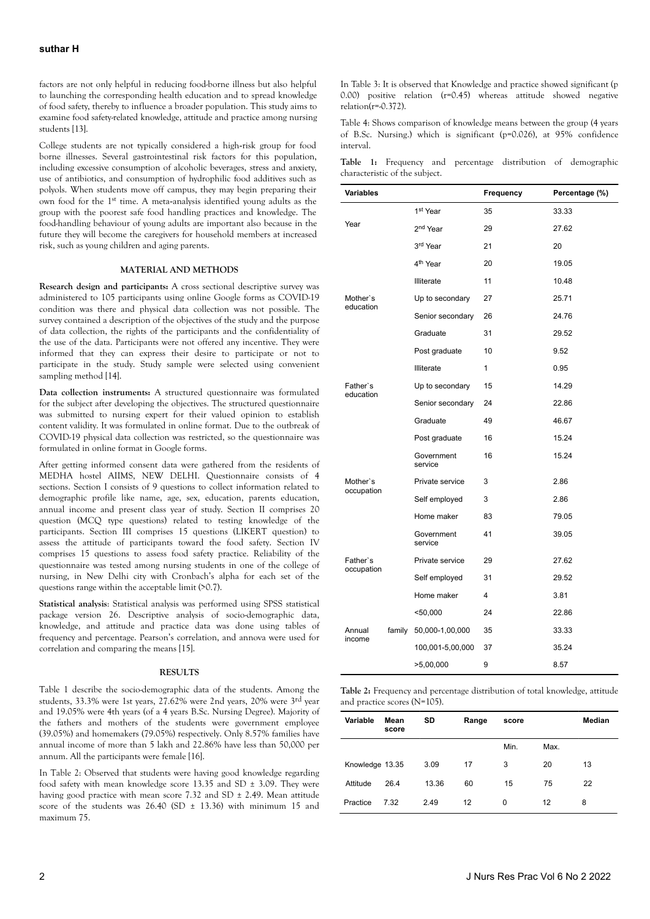factors are not only helpful in reducing food-borne illness but also helpful to launching the corresponding health education and to spread knowledge of food safety, thereby to influence a broader population. This study aims to examine food safety-related knowledge, attitude and practice among nursing students [13].

College students are not typically considered a high‐risk group for food borne illnesses. Several gastrointestinal risk factors for this population, including excessive consumption of alcoholic beverages, stress and anxiety, use of antibiotics, and consumption of hydrophilic food additives such as polyols. When students move off campus, they may begin preparing their own food for the 1st time. A meta‐analysis identified young adults as the group with the poorest safe food handling practices and knowledge. The food-handling behaviour of young adults are important also because in the future they will become the caregivers for household members at increased risk, such as young children and aging parents.

## **MATERIAL AND METHODS**

**Research design and participants:** A cross sectional descriptive survey was administered to 105 participants using online Google forms as COVID-19 condition was there and physical data collection was not possible. The survey contained a description of the objectives of the study and the purpose of data collection, the rights of the participants and the confidentiality of the use of the data. Participants were not offered any incentive. They were informed that they can express their desire to participate or not to participate in the study. Study sample were selected using convenient sampling method [14].

**Data collection instruments:** A structured questionnaire was formulated for the subject after developing the objectives. The structured questionnaire was submitted to nursing expert for their valued opinion to establish content validity. It was formulated in online format. Due to the outbreak of COVID-19 physical data collection was restricted, so the questionnaire was formulated in online format in Google forms.

After getting informed consent data were gathered from the residents of MEDHA hostel AIIMS, NEW DELHI. Questionnaire consists of 4 sections. Section I consists of 9 questions to collect information related to demographic profile like name, age, sex, education, parents education, annual income and present class year of study. Section II comprises 20 question (MCQ type questions) related to testing knowledge of the participants. Section III comprises 15 questions (LIKERT question) to assess the attitude of participants toward the food safety. Section IV comprises 15 questions to assess food safety practice. Reliability of the questionnaire was tested among nursing students in one of the college of nursing, in New Delhi city with Cronbach's alpha for each set of the questions range within the acceptable limit (>0.7).

**Statistical analysis**: Statistical analysis was performed using SPSS statistical package version 26. Descriptive analysis of socio-demographic data, knowledge, and attitude and practice data was done using tables of frequency and percentage. Pearson's correlation, and annova were used for correlation and comparing the means [15].

## **RESULTS**

Table 1 describe the socio-demographic data of the students. Among the students, 33.3% were 1st years, 27.62% were 2nd years, 20% were 3rd year and 19.05% were 4th years (of a 4 years B.Sc. Nursing Degree). Majority of the fathers and mothers of the students were government employee (39.05%) and homemakers (79.05%) respectively. Only 8.57% families have annual income of more than 5 lakh and 22.86% have less than 50,000 per annum. All the participants were female [16].

In Table 2: Observed that students were having good knowledge regarding food safety with mean knowledge score 13.35 and SD ± 3.09. They were having good practice with mean score 7.32 and SD ± 2.49. Mean attitude score of the students was  $26.40$  (SD  $\pm$  13.36) with minimum 15 and maximum 75.

In Table 3: It is observed that Knowledge and practice showed significant (p 0.00) positive relation (r=0.45) whereas attitude showed negative  $relation(r=.0.372)$ .

Table 4: Shows comparison of knowledge means between the group (4 years of B.Sc. Nursing.) which is significant (p=0.026), at 95% confidence interval.

**Table 1:** Frequency and percentage distribution of demographic characteristic of the subject.

| <b>Variables</b> |        |                       | Frequency | Percentage (%) |
|------------------|--------|-----------------------|-----------|----------------|
|                  |        | 1st Year              | 35        | 33.33          |
| Year             |        | 2 <sup>nd</sup> Year  | 29        | 27.62          |
|                  |        | 3 <sup>rd</sup> Year  | 21        | 20             |
|                  |        | 4 <sup>th</sup> Year  | 20        | 19.05          |
|                  |        | Illiterate            | 11        | 10.48          |
| Mother's         |        | Up to secondary       | 27        | 25.71          |
| education        |        | Senior secondary      | 26        | 24.76          |
|                  |        | Graduate              | 31        | 29.52          |
|                  |        | Post graduate         | 10        | 9.52           |
|                  |        | Illiterate            | 1         | 0.95           |
| Father's         |        | Up to secondary       | 15        | 14.29          |
| education        |        | Senior secondary      | 24        | 22.86          |
|                  |        | Graduate              | 49        | 46.67          |
|                  |        | Post graduate         | 16        | 15.24          |
|                  |        | Government<br>service | 16        | 15.24          |
| Mother's         |        | Private service       | 3         | 2.86           |
| occupation       |        | Self employed         | 3         | 2.86           |
|                  |        | Home maker            | 83        | 79.05          |
|                  |        | Government<br>service | 41        | 39.05          |
| Father's         |        | Private service       | 29        | 27.62          |
| occupation       |        | Self employed         | 31        | 29.52          |
|                  |        | Home maker            | 4         | 3.81           |
|                  |        | $50,000$              | 24        | 22.86          |
| Annual           | family | 50,000-1,00,000       | 35        | 33.33          |
| income           |        | 100,001-5,00,000      | 37        | 35.24          |
|                  |        | >5,00,000             | 9         | 8.57           |

| <b>Table 2:</b> Frequency and percentage distribution of total knowledge, attitude |  |  |
|------------------------------------------------------------------------------------|--|--|
| and practice scores (N=105).                                                       |  |  |

| Variable        | Mean<br>score | SD    | Range | score |      | Median |
|-----------------|---------------|-------|-------|-------|------|--------|
|                 |               |       |       | Min.  | Max. |        |
| Knowledge 13.35 |               | 3.09  | 17    | 3     | 20   | 13     |
| Attitude        | 26.4          | 13.36 | 60    | 15    | 75   | 22     |
| Practice        | 7.32          | 2.49  | 12    | 0     | 12   | 8      |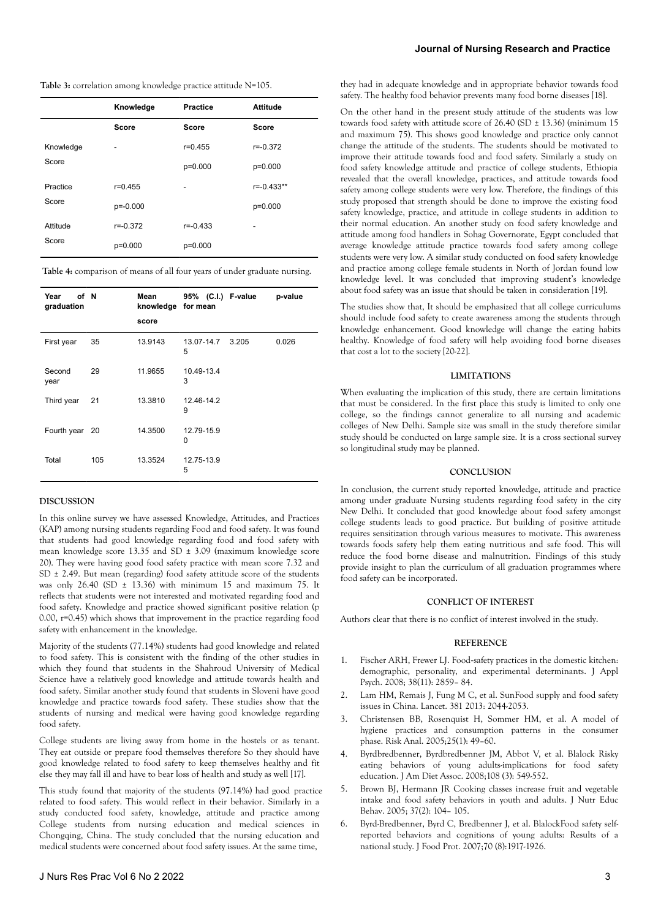| Table 3: correlation among knowledge practice attitude N=105. |  |  |  |
|---------------------------------------------------------------|--|--|--|
|---------------------------------------------------------------|--|--|--|

|           | Knowledge    | <b>Practice</b> | <b>Attitude</b> |
|-----------|--------------|-----------------|-----------------|
|           | <b>Score</b> | <b>Score</b>    | Score           |
| Knowledge | -            | $r = 0.455$     | $r = -0.372$    |
| Score     |              | p=0.000         | p=0.000         |
| Practice  | $r = 0.455$  |                 | $r = -0.433**$  |
| Score     | $p=-0.000$   |                 | $p=0.000$       |
| Attitude  | $r = -0.372$ | $r = -0.433$    |                 |
| Score     | p=0.000      | p=0.000         |                 |

**Table 4:** comparison of means of all four years of under graduate nursing.

| Year<br>graduation | of N | Mean<br>knowledge<br>score | 95% (C.I.) F-value<br>for mean |       | p-value |
|--------------------|------|----------------------------|--------------------------------|-------|---------|
| First year         | 35   | 13.9143                    | 13.07-14.7<br>5                | 3.205 | 0.026   |
| Second<br>year     | 29   | 11.9655                    | 10.49-13.4<br>3                |       |         |
| Third year         | 21   | 13.3810                    | 12.46-14.2<br>9                |       |         |
| Fourth year        | - 20 | 14.3500                    | 12.79-15.9<br>0                |       |         |
| Total              | 105  | 13.3524                    | 12.75-13.9<br>5                |       |         |

#### **DISCUSSION**

In this online survey we have assessed Knowledge, Attitudes, and Practices (KAP) among nursing students regarding Food and food safety. It was found that students had good knowledge regarding food and food safety with mean knowledge score 13.35 and SD ± 3.09 (maximum knowledge score 20). They were having good food safety practice with mean score 7.32 and SD ± 2.49. But mean (regarding) food safety attitude score of the students was only 26.40 (SD  $\pm$  13.36) with minimum 15 and maximum 75. It reflects that students were not interested and motivated regarding food and food safety. Knowledge and practice showed significant positive relation (p 0.00, r=0.45) which shows that improvement in the practice regarding food safety with enhancement in the knowledge.

Majority of the students (77.14%) students had good knowledge and related to food safety. This is consistent with the finding of the other studies in which they found that students in the Shahroud University of Medical Science have a relatively good knowledge and attitude towards health and food safety. Similar another study found that students in Sloveni have good knowledge and practice towards food safety. These studies show that the students of nursing and medical were having good knowledge regarding food safety.

College students are living away from home in the hostels or as tenant. They eat outside or prepare food themselves therefore So they should have good knowledge related to food safety to keep themselves healthy and fit else they may fall ill and have to bear loss of health and study as well [17].

This study found that majority of the students (97.14%) had good practice related to food safety. This would reflect in their behavior. Similarly in a study conducted food safety, knowledge, attitude and practice among College students from nursing education and medical sciences in Chongqing, China. The study concluded that the nursing education and medical students were concerned about food safety issues. At the same time,

they had in adequate knowledge and in appropriate behavior towards food safety. The healthy food behavior prevents many food borne diseases [18].

On the other hand in the present study attitude of the students was low towards food safety with attitude score of  $26.40$  (SD  $\pm$  13.36) (minimum 15 and maximum 75). This shows good knowledge and practice only cannot change the attitude of the students. The students should be motivated to improve their attitude towards food and food safety. Similarly a study on food safety knowledge attitude and practice of college students, Ethiopia revealed that the overall knowledge, practices, and attitude towards food safety among college students were very low. Therefore, the findings of this study proposed that strength should be done to improve the existing food safety knowledge, practice, and attitude in college students in addition to their normal education. An another study on food safety knowledge and attitude among food handlers in Sohag Governorate, Egypt concluded that average knowledge attitude practice towards food safety among college students were very low. A similar study conducted on food safety knowledge and practice among college female students in North of Jordan found low knowledge level. It was concluded that improving student's knowledge about food safety was an issue that should be taken in consideration [19].

The studies show that, It should be emphasized that all college curriculums should include food safety to create awareness among the students through knowledge enhancement. Good knowledge will change the eating habits healthy. Knowledge of food safety will help avoiding food borne diseases that cost a lot to the society [20-22].

#### **LIMITATIONS**

When evaluating the implication of this study, there are certain limitations that must be considered. In the first place this study is limited to only one college, so the findings cannot generalize to all nursing and academic colleges of New Delhi. Sample size was small in the study therefore similar study should be conducted on large sample size. It is a cross sectional survey so longitudinal study may be planned.

#### **CONCLUSION**

In conclusion, the current study reported knowledge, attitude and practice among under graduate Nursing students regarding food safety in the city New Delhi. It concluded that good knowledge about food safety amongst college students leads to good practice. But building of positive attitude requires sensitization through various measures to motivate. This awareness towards foods safety help them eating nutritious and safe food. This will reduce the food borne disease and malnutrition. Findings of this study provide insight to plan the curriculum of all graduation programmes where food safety can be incorporated.

#### **CONFLICT OF INTEREST**

Authors clear that there is no conflict of interest involved in the study.

#### **REFERENCE**

- 1. Fischer ARH, Frewer LJ. Food‐[safety practices in the domestic kitchen:](https://onlinelibrary.wiley.com/doi/abs/10.1111/j.1559-1816.2008.00416.x) [demographic, personality, and experimental determinants](https://onlinelibrary.wiley.com/doi/abs/10.1111/j.1559-1816.2008.00416.x). J Appl Psych. 2008; 38(11): 2859– 84.
- Lam HM, Remais J, Fung M C, et al. SunFood supply and food safety issues in China. Lancet. 381 2013: 2044-2053.
- 3. Christensen BB, Rosenquist H, Sommer HM, et al. [A model of](https://onlinelibrary.wiley.com/doi/abs/10.1111/j.0272-4332.2005.00566.x) [hygiene practices and consumption patterns in the consumer](https://onlinelibrary.wiley.com/doi/abs/10.1111/j.0272-4332.2005.00566.x) [phase.](https://onlinelibrary.wiley.com/doi/abs/10.1111/j.0272-4332.2005.00566.x) Risk Anal. 2005;25(1): 49–60.
- 4. [Byrdbredbenner,](https://www.sciencedirect.com/science/article/pii/S0956713518303797) Byrdbredbenner JM, Abbot V, et al. [Blalock Risky](https://www.sciencedirect.com/science/article/abs/pii/S0002822307022146) [eating behaviors of young adults-implications for food safety](https://www.sciencedirect.com/science/article/abs/pii/S0002822307022146) [education](https://www.sciencedirect.com/science/article/abs/pii/S0002822307022146). J Am Diet Assoc. 2008;108 (3): 549-552.
- 5. Brown BJ, Hermann JR Cooking classes increase fruit and vegetable intake and food safety behaviors in youth and adults. J Nutr Educ Behav. 2005; 37(2): 104– 105.
- 6. [Byrd-Bredbenner,](https://www.sciencedirect.com/science/article/pii/S0956713518303797) Byrd C, Bredbenner J, et al. [BlalockFood safety self](https://meridian.allenpress.com/jfp/article/70/8/1917/170660/Food-Safety-Self-Reported-Behaviors-and-Cognitions)[reported behaviors and cognitions of young adults: Results of a](https://meridian.allenpress.com/jfp/article/70/8/1917/170660/Food-Safety-Self-Reported-Behaviors-and-Cognitions) [national study](https://meridian.allenpress.com/jfp/article/70/8/1917/170660/Food-Safety-Self-Reported-Behaviors-and-Cognitions). J Food Prot. 2007;70 (8):1917-1926.